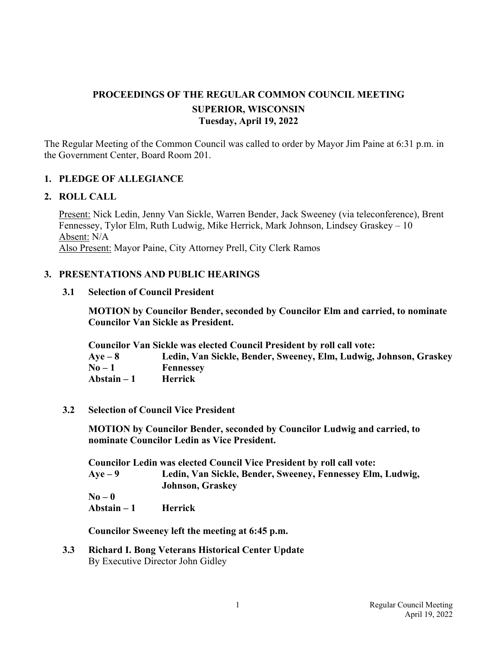# **PROCEEDINGS OF THE REGULAR COMMON COUNCIL MEETING SUPERIOR, WISCONSIN Tuesday, April 19, 2022**

The Regular Meeting of the Common Council was called to order by Mayor Jim Paine at 6:31 p.m. in the Government Center, Board Room 201.

## **1. PLEDGE OF ALLEGIANCE**

#### **2. ROLL CALL**

Present: Nick Ledin, Jenny Van Sickle, Warren Bender, Jack Sweeney (via teleconference), Brent Fennessey, Tylor Elm, Ruth Ludwig, Mike Herrick, Mark Johnson, Lindsey Graskey – 10 Absent: N/A Also Present: Mayor Paine, City Attorney Prell, City Clerk Ramos

#### **3. PRESENTATIONS AND PUBLIC HEARINGS**

#### **3.1 Selection of Council President**

**MOTION by Councilor Bender, seconded by Councilor Elm and carried, to nominate Councilor Van Sickle as President.** 

**Councilor Van Sickle was elected Council President by roll call vote: Aye – 8 Ledin, Van Sickle, Bender, Sweeney, Elm, Ludwig, Johnson, Graskey No – 1 Fennessey Abstain – 1 Herrick** 

**3.2 Selection of Council Vice President** 

**MOTION by Councilor Bender, seconded by Councilor Ludwig and carried, to nominate Councilor Ledin as Vice President.** 

**Councilor Ledin was elected Council Vice President by roll call vote: Aye – 9 Ledin, Van Sickle, Bender, Sweeney, Fennessey Elm, Ludwig, Johnson, Graskey No – 0 Abstain – 1 Herrick** 

 **Councilor Sweeney left the meeting at 6:45 p.m.** 

 **3.3 Richard I. Bong Veterans Historical Center Update** By Executive Director John Gidley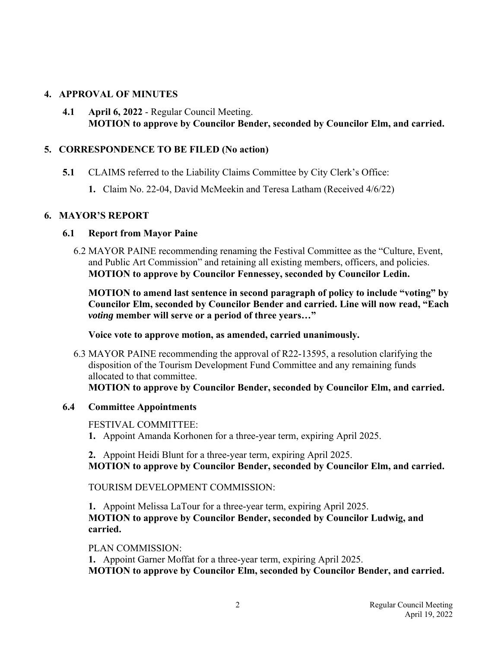# **4. APPROVAL OF MINUTES**

**4.1 April 6, 2022** - Regular Council Meeting. **MOTION to approve by Councilor Bender, seconded by Councilor Elm, and carried.**

### **5. CORRESPONDENCE TO BE FILED (No action)**

- **5.1** CLAIMS referred to the Liability Claims Committee by City Clerk's Office:
	- **1.** Claim No. 22-04, David McMeekin and Teresa Latham (Received 4/6/22)

## **6. MAYOR'S REPORT**

## **6.1 Report from Mayor Paine**

 6.2 MAYOR PAINE recommending renaming the Festival Committee as the "Culture, Event, and Public Art Commission" and retaining all existing members, officers, and policies. **MOTION to approve by Councilor Fennessey, seconded by Councilor Ledin.** 

 **MOTION to amend last sentence in second paragraph of policy to include "voting" by Councilor Elm, seconded by Councilor Bender and carried. Line will now read, "Each**  *voting* **member will serve or a period of three years…"** 

**Voice vote to approve motion, as amended, carried unanimously.** 

 6.3 MAYOR PAINE recommending the approval of R22-13595, a resolution clarifying the disposition of the Tourism Development Fund Committee and any remaining funds allocated to that committee. **MOTION to approve by Councilor Bender, seconded by Councilor Elm, and carried.**

# **6.4 Committee Appointments**

FESTIVAL COMMITTEE:

 **1.** Appoint Amanda Korhonen for a three-year term, expiring April 2025.

 **2.** Appoint Heidi Blunt for a three-year term, expiring April 2025. **MOTION to approve by Councilor Bender, seconded by Councilor Elm, and carried.**

TOURISM DEVELOPMENT COMMISSION:

 **1.** Appoint Melissa LaTour for a three-year term, expiring April 2025. **MOTION to approve by Councilor Bender, seconded by Councilor Ludwig, and carried.**

#### PLAN COMMISSION:

 **1.** Appoint Garner Moffat for a three-year term, expiring April 2025. **MOTION to approve by Councilor Elm, seconded by Councilor Bender, and carried.**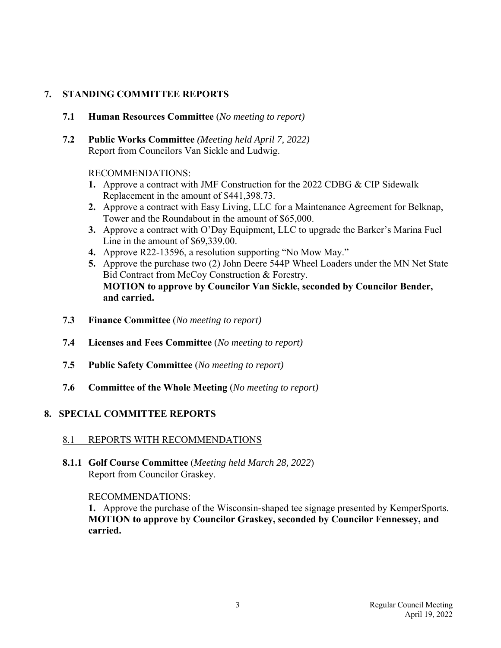# **7. STANDING COMMITTEE REPORTS**

- **7.1 Human Resources Committee** (*No meeting to report)*
- **7.2 Public Works Committee** *(Meeting held April 7, 2022)* Report from Councilors Van Sickle and Ludwig.

## RECOMMENDATIONS:

- **1.** Approve a contract with JMF Construction for the 2022 CDBG & CIP Sidewalk Replacement in the amount of \$441,398.73.
- **2.** Approve a contract with Easy Living, LLC for a Maintenance Agreement for Belknap, Tower and the Roundabout in the amount of \$65,000.
- **3.** Approve a contract with O'Day Equipment, LLC to upgrade the Barker's Marina Fuel Line in the amount of \$69,339.00.
- **4.** Approve R22-13596, a resolution supporting "No Mow May."
- **5.** Approve the purchase two (2) John Deere 544P Wheel Loaders under the MN Net State Bid Contract from McCoy Construction & Forestry. **MOTION to approve by Councilor Van Sickle, seconded by Councilor Bender, and carried.**
- **7.3 Finance Committee** (*No meeting to report)*
- **7.4 Licenses and Fees Committee** (*No meeting to report)*
- **7.5 Public Safety Committee** (*No meeting to report)*
- **7.6 Committee of the Whole Meeting** (*No meeting to report)*

# **8. SPECIAL COMMITTEE REPORTS**

# 8.1 REPORTS WITH RECOMMENDATIONS

 **8.1.1 Golf Course Committee** (*Meeting held March 28, 2022*) Report from Councilor Graskey.

#### RECOMMENDATIONS:

**1.** Approve the purchase of the Wisconsin-shaped tee signage presented by KemperSports. **MOTION to approve by Councilor Graskey, seconded by Councilor Fennessey, and carried.**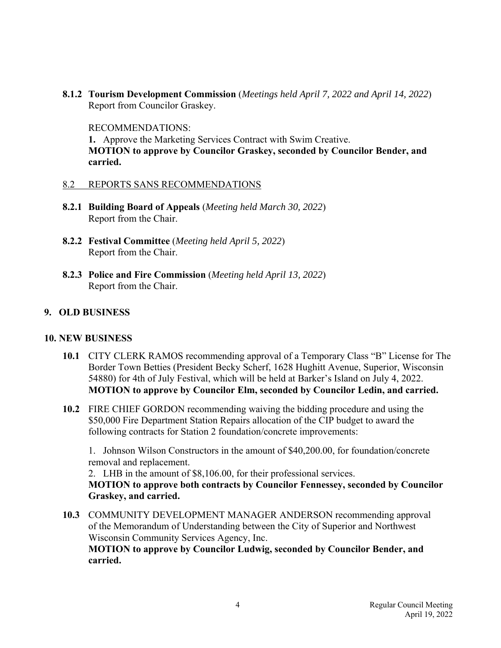**8.1.2 Tourism Development Commission** (*Meetings held April 7, 2022 and April 14, 2022*) Report from Councilor Graskey.

RECOMMENDATIONS:

**1.** Approve the Marketing Services Contract with Swim Creative. **MOTION to approve by Councilor Graskey, seconded by Councilor Bender, and carried.**

#### 8.2 REPORTS SANS RECOMMENDATIONS

- **8.2.1 Building Board of Appeals** (*Meeting held March 30, 2022*) Report from the Chair.
- **8.2.2 Festival Committee** (*Meeting held April 5, 2022*) Report from the Chair.
- **8.2.3 Police and Fire Commission** (*Meeting held April 13, 2022*) Report from the Chair.

## **9. OLD BUSINESS**

#### **10. NEW BUSINESS**

- **10.1** CITY CLERK RAMOS recommending approval of a Temporary Class "B" License for The Border Town Betties (President Becky Scherf, 1628 Hughitt Avenue, Superior, Wisconsin 54880) for 4th of July Festival, which will be held at Barker's Island on July 4, 2022. **MOTION to approve by Councilor Elm, seconded by Councilor Ledin, and carried.**
- **10.2** FIRE CHIEF GORDON recommending waiving the bidding procedure and using the \$50,000 Fire Department Station Repairs allocation of the CIP budget to award the following contracts for Station 2 foundation/concrete improvements:

 1. Johnson Wilson Constructors in the amount of \$40,200.00, for foundation/concrete removal and replacement.

2. LHB in the amount of \$8,106.00, for their professional services. **MOTION to approve both contracts by Councilor Fennessey, seconded by Councilor Graskey, and carried.**

 **10.3** COMMUNITY DEVELOPMENT MANAGER ANDERSON recommending approval of the Memorandum of Understanding between the City of Superior and Northwest Wisconsin Community Services Agency, Inc. **MOTION to approve by Councilor Ludwig, seconded by Councilor Bender, and carried.**